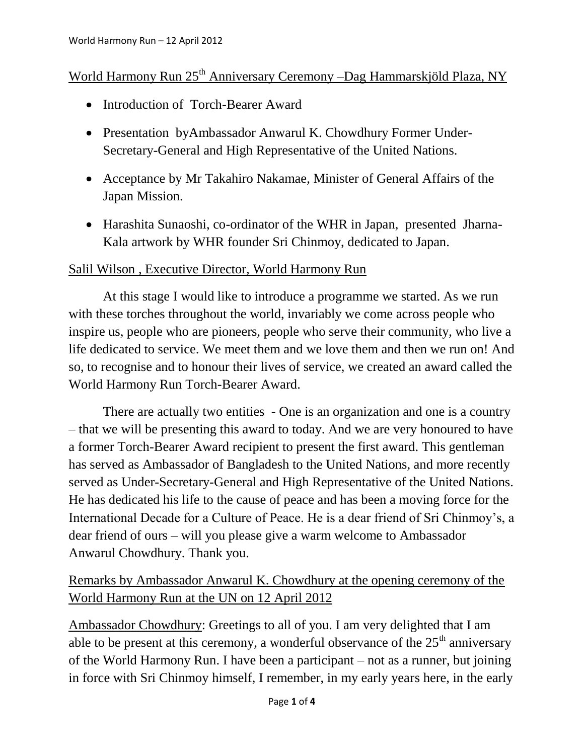## World Harmony Run 25<sup>th</sup> Anniversary Ceremony –Dag Hammarskjöld Plaza, NY

- Introduction of Torch-Bearer Award
- Presentation byAmbassador Anwarul K. Chowdhury Former Under-Secretary-General and High Representative of the United Nations.
- Acceptance by Mr Takahiro Nakamae, Minister of General Affairs of the Japan Mission.
- Harashita Sunaoshi, co-ordinator of the WHR in Japan, presented Jharna-Kala artwork by WHR founder Sri Chinmoy, dedicated to Japan.

## Salil Wilson , Executive Director, World Harmony Run

At this stage I would like to introduce a programme we started. As we run with these torches throughout the world, invariably we come across people who inspire us, people who are pioneers, people who serve their community, who live a life dedicated to service. We meet them and we love them and then we run on! And so, to recognise and to honour their lives of service, we created an award called the World Harmony Run Torch-Bearer Award.

There are actually two entities - One is an organization and one is a country – that we will be presenting this award to today. And we are very honoured to have a former Torch-Bearer Award recipient to present the first award. This gentleman has served as Ambassador of Bangladesh to the United Nations, and more recently served as Under-Secretary-General and High Representative of the United Nations. He has dedicated his life to the cause of peace and has been a moving force for the International Decade for a Culture of Peace. He is a dear friend of Sri Chinmoy's, a dear friend of ours – will you please give a warm welcome to Ambassador Anwarul Chowdhury. Thank you.

## Remarks by Ambassador Anwarul K. Chowdhury at the opening ceremony of the World Harmony Run at the UN on 12 April 2012

Ambassador Chowdhury: Greetings to all of you. I am very delighted that I am able to be present at this ceremony, a wonderful observance of the  $25<sup>th</sup>$  anniversary of the World Harmony Run. I have been a participant – not as a runner, but joining in force with Sri Chinmoy himself, I remember, in my early years here, in the early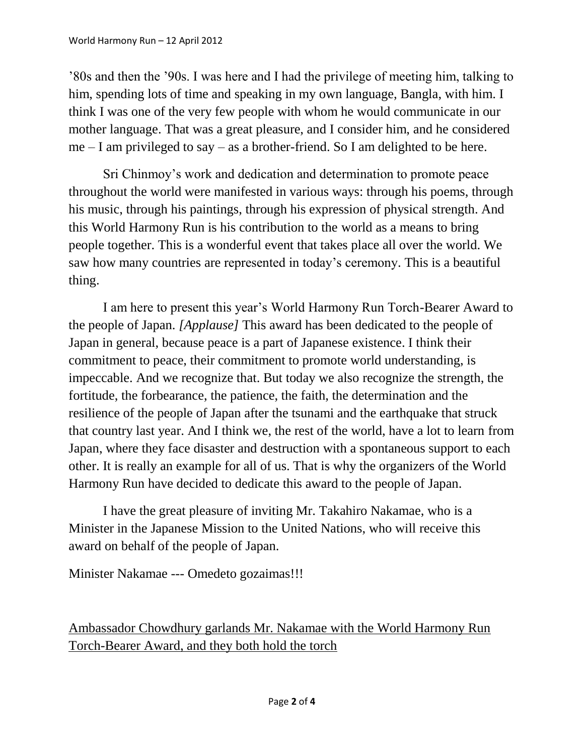'80s and then the '90s. I was here and I had the privilege of meeting him, talking to him, spending lots of time and speaking in my own language, Bangla, with him. I think I was one of the very few people with whom he would communicate in our mother language. That was a great pleasure, and I consider him, and he considered  $me - I$  am privileged to say – as a brother-friend. So I am delighted to be here.

Sri Chinmoy's work and dedication and determination to promote peace throughout the world were manifested in various ways: through his poems, through his music, through his paintings, through his expression of physical strength. And this World Harmony Run is his contribution to the world as a means to bring people together. This is a wonderful event that takes place all over the world. We saw how many countries are represented in today's ceremony. This is a beautiful thing.

I am here to present this year's World Harmony Run Torch-Bearer Award to the people of Japan. *[Applause]* This award has been dedicated to the people of Japan in general, because peace is a part of Japanese existence. I think their commitment to peace, their commitment to promote world understanding, is impeccable. And we recognize that. But today we also recognize the strength, the fortitude, the forbearance, the patience, the faith, the determination and the resilience of the people of Japan after the tsunami and the earthquake that struck that country last year. And I think we, the rest of the world, have a lot to learn from Japan, where they face disaster and destruction with a spontaneous support to each other. It is really an example for all of us. That is why the organizers of the World Harmony Run have decided to dedicate this award to the people of Japan.

I have the great pleasure of inviting Mr. Takahiro Nakamae, who is a Minister in the Japanese Mission to the United Nations, who will receive this award on behalf of the people of Japan.

Minister Nakamae --- Omedeto gozaimas!!!

Ambassador Chowdhury garlands Mr. Nakamae with the World Harmony Run Torch-Bearer Award, and they both hold the torch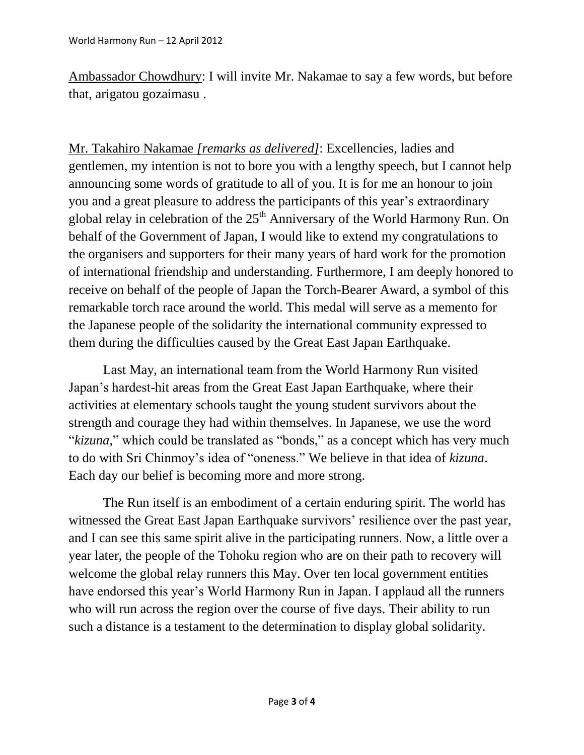Ambassador Chowdhury: I will invite Mr. Nakamae to say a few words, but before that, arigatou gozaimasu .

Mr. Takahiro Nakamae *[remarks as delivered]*: Excellencies, ladies and gentlemen, my intention is not to bore you with a lengthy speech, but I cannot help announcing some words of gratitude to all of you. It is for me an honour to join you and a great pleasure to address the participants of this year's extraordinary global relay in celebration of the  $25<sup>th</sup>$  Anniversary of the World Harmony Run. On behalf of the Government of Japan, I would like to extend my congratulations to the organisers and supporters for their many years of hard work for the promotion of international friendship and understanding. Furthermore, I am deeply honored to receive on behalf of the people of Japan the Torch-Bearer Award, a symbol of this remarkable torch race around the world. This medal will serve as a memento for the Japanese people of the solidarity the international community expressed to them during the difficulties caused by the Great East Japan Earthquake.

Last May, an international team from the World Harmony Run visited Japan's hardest-hit areas from the Great East Japan Earthquake, where their activities at elementary schools taught the young student survivors about the strength and courage they had within themselves. In Japanese, we use the word "*kizuna,*" which could be translated as "bonds," as a concept which has very much to do with Sri Chinmoy's idea of "oneness." We believe in that idea of *kizuna*. Each day our belief is becoming more and more strong.

The Run itself is an embodiment of a certain enduring spirit. The world has witnessed the Great East Japan Earthquake survivors' resilience over the past year, and I can see this same spirit alive in the participating runners. Now, a little over a year later, the people of the Tohoku region who are on their path to recovery will welcome the global relay runners this May. Over ten local government entities have endorsed this year's World Harmony Run in Japan. I applaud all the runners who will run across the region over the course of five days. Their ability to run such a distance is a testament to the determination to display global solidarity.